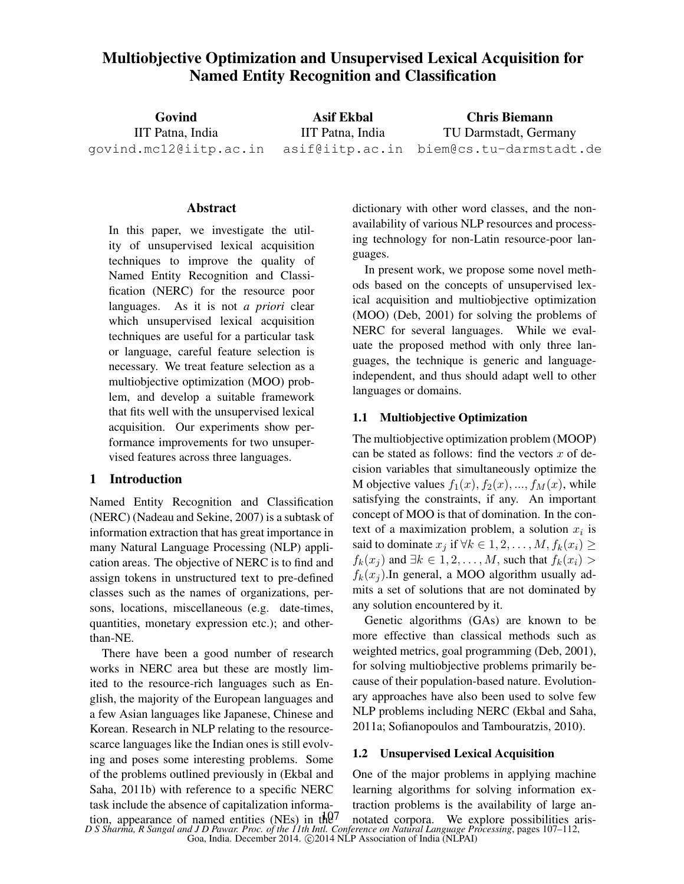# Multiobjective Optimization and Unsupervised Lexical Acquisition for Named Entity Recognition and Classification

| Govind                 | Asif Ekbal       | <b>Chris Biemann</b>                    |  |  |
|------------------------|------------------|-----------------------------------------|--|--|
| IIT Patna, India       | IIT Patna, India | TU Darmstadt, Germany                   |  |  |
| qovind.mc12@iitp.ac.in |                  | asif@iitp.ac.in biem@cs.tu-darmstadt.de |  |  |

## Abstract

In this paper, we investigate the utility of unsupervised lexical acquisition techniques to improve the quality of Named Entity Recognition and Classification (NERC) for the resource poor languages. As it is not *a priori* clear which unsupervised lexical acquisition techniques are useful for a particular task or language, careful feature selection is necessary. We treat feature selection as a multiobjective optimization (MOO) problem, and develop a suitable framework that fits well with the unsupervised lexical acquisition. Our experiments show performance improvements for two unsupervised features across three languages.

## 1 Introduction

Named Entity Recognition and Classification (NERC) (Nadeau and Sekine, 2007) is a subtask of information extraction that has great importance in many Natural Language Processing (NLP) application areas. The objective of NERC is to find and assign tokens in unstructured text to pre-defined classes such as the names of organizations, persons, locations, miscellaneous (e.g. date-times, quantities, monetary expression etc.); and otherthan-NE.

There have been a good number of research works in NERC area but these are mostly limited to the resource-rich languages such as English, the majority of the European languages and a few Asian languages like Japanese, Chinese and Korean. Research in NLP relating to the resourcescarce languages like the Indian ones is still evolving and poses some interesting problems. Some of the problems outlined previously in (Ekbal and Saha, 2011b) with reference to a specific NERC task include the absence of capitalization informadictionary with other word classes, and the nonavailability of various NLP resources and processing technology for non-Latin resource-poor languages.

In present work, we propose some novel methods based on the concepts of unsupervised lexical acquisition and multiobjective optimization (MOO) (Deb, 2001) for solving the problems of NERC for several languages. While we evaluate the proposed method with only three languages, the technique is generic and languageindependent, and thus should adapt well to other languages or domains.

## 1.1 Multiobjective Optimization

The multiobjective optimization problem (MOOP) can be stated as follows: find the vectors  $x$  of decision variables that simultaneously optimize the M objective values  $f_1(x)$ ,  $f_2(x)$ , ...,  $f_M(x)$ , while satisfying the constraints, if any. An important concept of MOO is that of domination. In the context of a maximization problem, a solution  $x_i$  is said to dominate  $x_i$  if  $\forall k \in 1, 2, ..., M, f_k(x_i) \geq$  $f_k(x_i)$  and  $\exists k \in 1, 2, \ldots, M$ , such that  $f_k(x_i)$  $f_k(x_i)$ . In general, a MOO algorithm usually admits a set of solutions that are not dominated by any solution encountered by it.

Genetic algorithms (GAs) are known to be more effective than classical methods such as weighted metrics, goal programming (Deb, 2001), for solving multiobjective problems primarily because of their population-based nature. Evolutionary approaches have also been used to solve few NLP problems including NERC (Ekbal and Saha, 2011a; Sofianopoulos and Tambouratzis, 2010).

### 1.2 Unsupervised Lexical Acquisition

One of the major problems in applying machine learning algorithms for solving information extraction problems is the availability of large an-

*D S Sharma, R Sangal and J D Pawar. Proc. of the 11th Intl. Conference on Natural Language Processing*, pages 107–112, Goa, India. December 2014. ©2014 NLP Association of India (NLPAI) tion, appearance of named entities (NEs) in the notated corpora. We explore possibilities aris-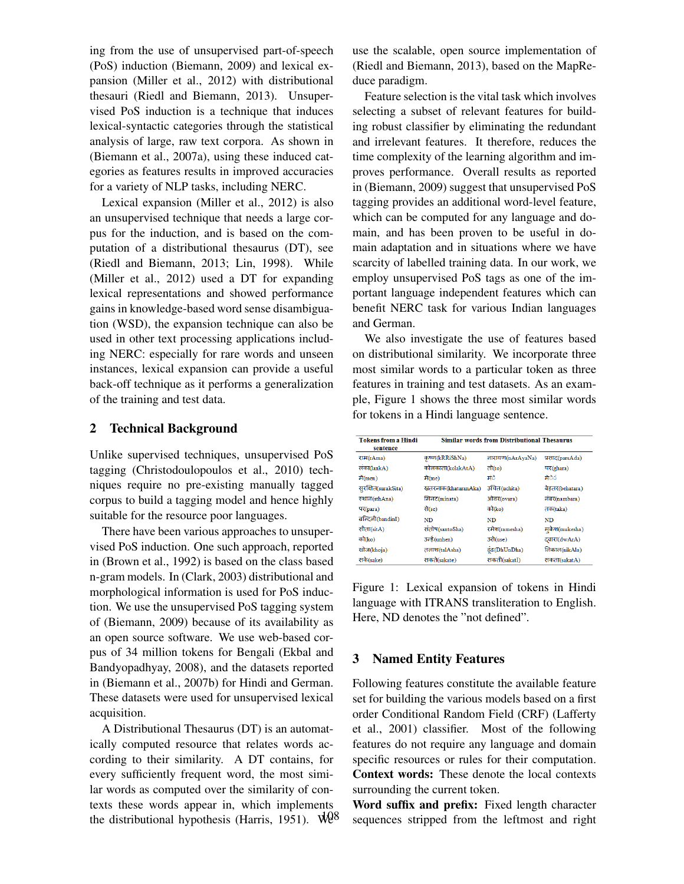ing from the use of unsupervised part-of-speech (PoS) induction (Biemann, 2009) and lexical expansion (Miller et al., 2012) with distributional thesauri (Riedl and Biemann, 2013). Unsupervised PoS induction is a technique that induces lexical-syntactic categories through the statistical analysis of large, raw text corpora. As shown in (Biemann et al., 2007a), using these induced categories as features results in improved accuracies for a variety of NLP tasks, including NERC.

Lexical expansion (Miller et al., 2012) is also an unsupervised technique that needs a large corpus for the induction, and is based on the computation of a distributional thesaurus (DT), see (Riedl and Biemann, 2013; Lin, 1998). While (Miller et al., 2012) used a DT for expanding lexical representations and showed performance gains in knowledge-based word sense disambiguation (WSD), the expansion technique can also be used in other text processing applications including NERC: especially for rare words and unseen instances, lexical expansion can provide a useful back-off technique as it performs a generalization of the training and test data.

## 2 Technical Background

Unlike supervised techniques, unsupervised PoS tagging (Christodoulopoulos et al., 2010) techniques require no pre-existing manually tagged corpus to build a tagging model and hence highly suitable for the resource poor languages.

There have been various approaches to unsupervised PoS induction. One such approach, reported in (Brown et al., 1992) is based on the class based n-gram models. In (Clark, 2003) distributional and morphological information is used for PoS induction. We use the unsupervised PoS tagging system of (Biemann, 2009) because of its availability as an open source software. We use web-based corpus of 34 million tokens for Bengali (Ekbal and Bandyopadhyay, 2008), and the datasets reported in (Biemann et al., 2007b) for Hindi and German. These datasets were used for unsupervised lexical acquisition.

A Distributional Thesaurus (DT) is an automatically computed resource that relates words according to their similarity. A DT contains, for every sufficiently frequent word, the most similar words as computed over the similarity of contexts these words appear in, which implements the distributional hypothesis (Harris, 1951).  $\sqrt{4}8^8$  use the scalable, open source implementation of (Riedl and Biemann, 2013), based on the MapReduce paradigm.

Feature selection is the vital task which involves selecting a subset of relevant features for building robust classifier by eliminating the redundant and irrelevant features. It therefore, reduces the time complexity of the learning algorithm and improves performance. Overall results as reported in (Biemann, 2009) suggest that unsupervised PoS tagging provides an additional word-level feature, which can be computed for any language and domain, and has been proven to be useful in domain adaptation and in situations where we have scarcity of labelled training data. In our work, we employ unsupervised PoS tags as one of the important language independent features which can benefit NERC task for various Indian languages and German.

We also investigate the use of features based on distributional similarity. We incorporate three most similar words to a particular token as three features in training and test datasets. As an example, Figure 1 shows the three most similar words for tokens in a Hindi language sentence.

| <b>Tokens from a Hindi</b> | <b>Similar words from Distributional Thesaurus</b> |                  |                 |  |
|----------------------------|----------------------------------------------------|------------------|-----------------|--|
| sentence                   |                                                    |                  |                 |  |
| राम(rAma)                  | कष्ण(kRRiShNa)                                     | नारायण(nArAyaNa) | प्रसाद(parsAda) |  |
| लका(lankA)                 | कोलकाता(kolakAtA)                                  | तो $(to)$        | घर(ghara)       |  |
| में(men)                   | मे $(me)$                                          | ਸ਼ੋਹੇ            | ਸ਼ੇਨੇਨ          |  |
| सुरक्षित(surakSita)        | खतरनाक(khataranAka)                                | उचित(uchita)     | बेहतर(behatara) |  |
| स्थान(sthAna)              | मिनट(minata)                                       | ओवर(ovara)       | नंबर(nambara)   |  |
| पर(para)                   | सै(se)                                             | को(ko)           | तक(taka)        |  |
| बन्दिनी(bandinI)           | ND                                                 | ND               | ND              |  |
| सीता(sitA)                 | संतोष(santoSha)                                    | रमेश(ramesha)    | मुकेश(mukesha)  |  |
| को(ko)                     | उन्हें (unhen)                                     | उसे(use)         | दवारा(dwArA)    |  |
| खोज(khoja)                 | तलाश(talAsha)                                      | ढंढ(DhUnDha)     | निकाल(nikAla)   |  |
| सके(sake)                  | सकते(sakate)                                       | सकती(sakatI)     | सकता(sakatA)    |  |

Figure 1: Lexical expansion of tokens in Hindi language with ITRANS transliteration to English. Here, ND denotes the "not defined".

## 3 Named Entity Features

Following features constitute the available feature set for building the various models based on a first order Conditional Random Field (CRF) (Lafferty et al., 2001) classifier. Most of the following features do not require any language and domain specific resources or rules for their computation. Context words: These denote the local contexts surrounding the current token.

Word suffix and prefix: Fixed length character sequences stripped from the leftmost and right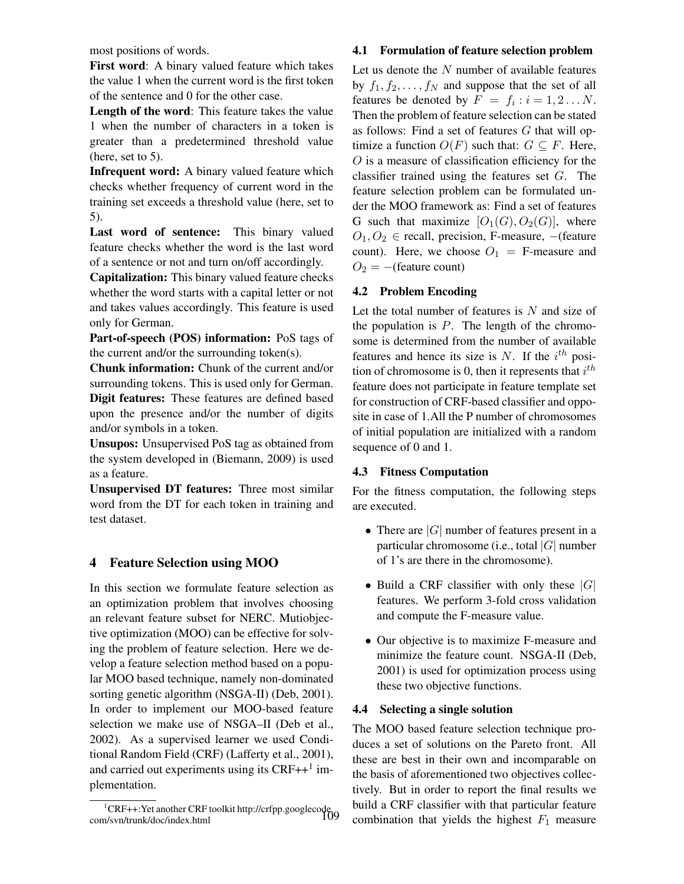most positions of words.

First word: A binary valued feature which takes the value 1 when the current word is the first token of the sentence and 0 for the other case.

Length of the word: This feature takes the value 1 when the number of characters in a token is greater than a predetermined threshold value (here, set to 5).

Infrequent word: A binary valued feature which checks whether frequency of current word in the training set exceeds a threshold value (here, set to 5).

Last word of sentence: This binary valued feature checks whether the word is the last word of a sentence or not and turn on/off accordingly.

Capitalization: This binary valued feature checks whether the word starts with a capital letter or not and takes values accordingly. This feature is used only for German.

Part-of-speech (POS) information: PoS tags of the current and/or the surrounding token(s).

Chunk information: Chunk of the current and/or surrounding tokens. This is used only for German. Digit features: These features are defined based upon the presence and/or the number of digits and/or symbols in a token.

Unsupos: Unsupervised PoS tag as obtained from the system developed in (Biemann, 2009) is used as a feature.

Unsupervised DT features: Three most similar word from the DT for each token in training and test dataset.

## 4 Feature Selection using MOO

In this section we formulate feature selection as an optimization problem that involves choosing an relevant feature subset for NERC. Mutiobjective optimization (MOO) can be effective for solving the problem of feature selection. Here we develop a feature selection method based on a popular MOO based technique, namely non-dominated sorting genetic algorithm (NSGA-II) (Deb, 2001). In order to implement our MOO-based feature selection we make use of NSGA–II (Deb et al., 2002). As a supervised learner we used Conditional Random Field (CRF) (Lafferty et al., 2001), and carried out experiments using its  $CRF++<sup>1</sup>$  implementation.

### 4.1 Formulation of feature selection problem

Let us denote the  $N$  number of available features by  $f_1, f_2, \ldots, f_N$  and suppose that the set of all features be denoted by  $F = f_i : i = 1, 2...N$ . Then the problem of feature selection can be stated as follows: Find a set of features  $G$  that will optimize a function  $O(F)$  such that:  $G \subseteq F$ . Here, O is a measure of classification efficiency for the classifier trained using the features set  $G$ . The feature selection problem can be formulated under the MOO framework as: Find a set of features G such that maximize  $[O_1(G), O_2(G)]$ , where  $O_1, O_2 \in$  recall, precision, F-measure, -(feature count). Here, we choose  $O_1 =$  F-measure and  $O_2 = -$ (feature count)

## 4.2 Problem Encoding

Let the total number of features is  $N$  and size of the population is  $P$ . The length of the chromosome is determined from the number of available features and hence its size is N. If the  $i^{th}$  position of chromosome is 0, then it represents that  $i^{th}$ feature does not participate in feature template set for construction of CRF-based classifier and opposite in case of 1.All the P number of chromosomes of initial population are initialized with a random sequence of 0 and 1.

## 4.3 Fitness Computation

For the fitness computation, the following steps are executed.

- There are  $|G|$  number of features present in a particular chromosome (i.e., total  $|G|$  number of 1's are there in the chromosome).
- Build a CRF classifier with only these  $|G|$ features. We perform 3-fold cross validation and compute the F-measure value.
- Our objective is to maximize F-measure and minimize the feature count. NSGA-II (Deb, 2001) is used for optimization process using these two objective functions.

## 4.4 Selecting a single solution

The MOO based feature selection technique produces a set of solutions on the Pareto front. All these are best in their own and incomparable on the basis of aforementioned two objectives collectively. But in order to report the final results we build a CRF classifier with that particular feature combination that yields the highest  $F_1$  measure

<sup>&</sup>lt;sup>1</sup>CRF++:Yet another CRF toolkit http://crfpp.googlecode.<br>1091/http://trunk/doc/index.html com/svn/trunk/doc/index.html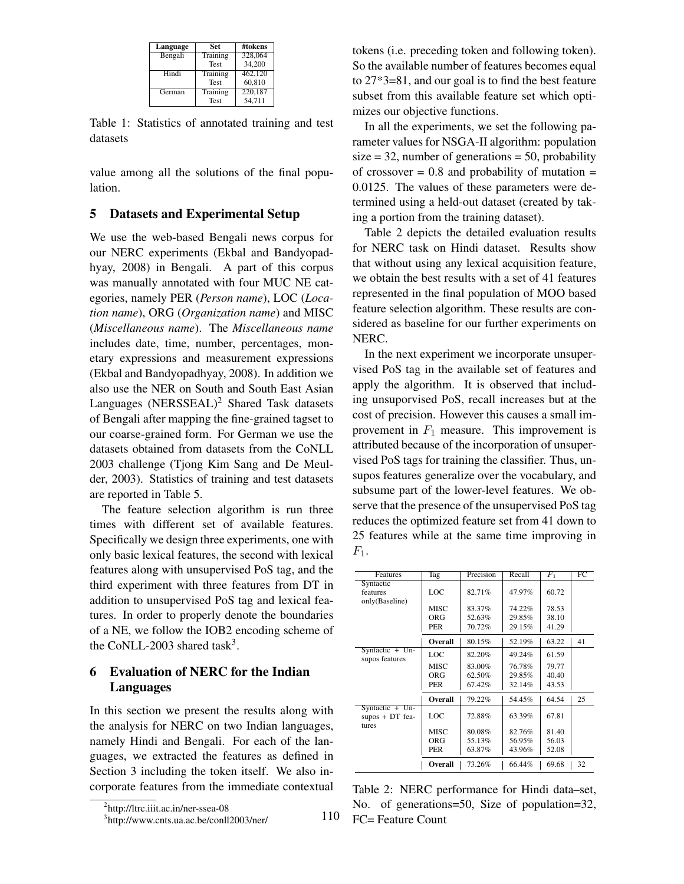| Language | Set         | #tokens |
|----------|-------------|---------|
| Bengali  | Training    | 328,064 |
|          | <b>Test</b> | 34,200  |
| Hindi    | Training    | 462,120 |
|          | <b>Test</b> | 60,810  |
| German   | Training    | 220,187 |
|          | <b>Test</b> | 54.711  |

Table 1: Statistics of annotated training and test datasets

value among all the solutions of the final population.

### 5 Datasets and Experimental Setup

We use the web-based Bengali news corpus for our NERC experiments (Ekbal and Bandyopadhyay, 2008) in Bengali. A part of this corpus was manually annotated with four MUC NE categories, namely PER (*Person name*), LOC (*Location name*), ORG (*Organization name*) and MISC (*Miscellaneous name*). The *Miscellaneous name* includes date, time, number, percentages, monetary expressions and measurement expressions (Ekbal and Bandyopadhyay, 2008). In addition we also use the NER on South and South East Asian Languages  $(NERSSEAL)^2$  Shared Task datasets of Bengali after mapping the fine-grained tagset to our coarse-grained form. For German we use the datasets obtained from datasets from the CoNLL 2003 challenge (Tjong Kim Sang and De Meulder, 2003). Statistics of training and test datasets are reported in Table 5.

The feature selection algorithm is run three times with different set of available features. Specifically we design three experiments, one with only basic lexical features, the second with lexical features along with unsupervised PoS tag, and the third experiment with three features from DT in addition to unsupervised PoS tag and lexical features. In order to properly denote the boundaries of a NE, we follow the IOB2 encoding scheme of the CoNLL-2003 shared task<sup>3</sup>.

## 6 Evaluation of NERC for the Indian Languages

In this section we present the results along with the analysis for NERC on two Indian languages, namely Hindi and Bengali. For each of the languages, we extracted the features as defined in Section 3 including the token itself. We also incorporate features from the immediate contextual

110

tokens (i.e. preceding token and following token). So the available number of features becomes equal to 27\*3=81, and our goal is to find the best feature subset from this available feature set which optimizes our objective functions.

In all the experiments, we set the following parameter values for NSGA-II algorithm: population  $size = 32$ , number of generations = 50, probability of crossover  $= 0.8$  and probability of mutation  $=$ 0.0125. The values of these parameters were determined using a held-out dataset (created by taking a portion from the training dataset).

Table 2 depicts the detailed evaluation results for NERC task on Hindi dataset. Results show that without using any lexical acquisition feature, we obtain the best results with a set of 41 features represented in the final population of MOO based feature selection algorithm. These results are considered as baseline for our further experiments on NERC.

In the next experiment we incorporate unsupervised PoS tag in the available set of features and apply the algorithm. It is observed that including unsuporvised PoS, recall increases but at the cost of precision. However this causes a small improvement in  $F_1$  measure. This improvement is attributed because of the incorporation of unsupervised PoS tags for training the classifier. Thus, unsupos features generalize over the vocabulary, and subsume part of the lower-level features. We observe that the presence of the unsupervised PoS tag reduces the optimized feature set from 41 down to 25 features while at the same time improving in  $F_1$ .

| Features          | Tag            | Precision | Recall | F <sub>1</sub> | FC |
|-------------------|----------------|-----------|--------|----------------|----|
| Syntactic         |                |           |        |                |    |
| features          | LOC            | 82.71%    | 47.97% | 60.72          |    |
| only(Baseline)    |                |           |        |                |    |
|                   | <b>MISC</b>    | 83.37%    | 74.22% | 78.53          |    |
|                   | ORG            | 52.63%    | 29.85% | 38.10          |    |
|                   | <b>PER</b>     | 70.72%    | 29.15% | 41.29          |    |
|                   |                |           |        |                |    |
|                   | Overall        | 80.15%    | 52.19% | 63.22          | 41 |
| Syntactic $+$ Un- | LOC            | 82.20%    | 49.24% | 61.59          |    |
| supos features    |                |           |        |                |    |
|                   | <b>MISC</b>    | 83.00%    | 76.78% | 79.77          |    |
|                   | ORG            | 62.50%    | 29.85% | 40.40          |    |
|                   | PER            | 67.42%    | 32.14% | 43.53          |    |
|                   |                |           |        |                |    |
|                   | <b>Overall</b> | 79.22%    | 54.45% | 64.54          | 25 |
| Syntactic $+$ Un- |                |           |        |                |    |
| $supos + DT$ fea- | LOC            | 72.88%    | 63.39% | 67.81          |    |
| tures             |                |           |        |                |    |
|                   | <b>MISC</b>    | 80.08%    | 82.76% | 81.40          |    |
|                   | ORG            | 55.13%    | 56.95% | 56.03          |    |
|                   | <b>PER</b>     | 63.87%    | 43.96% | 52.08          |    |
|                   |                |           |        |                |    |
|                   | Overall        | 73.26%    | 66.44% | 69.68          | 32 |

Table 2: NERC performance for Hindi data–set, No. of generations=50, Size of population=32, FC= Feature Count

<sup>&</sup>lt;sup>2</sup>http://ltrc.iiit.ac.in/ner-ssea-08

<sup>3</sup> http://www.cnts.ua.ac.be/conll2003/ner/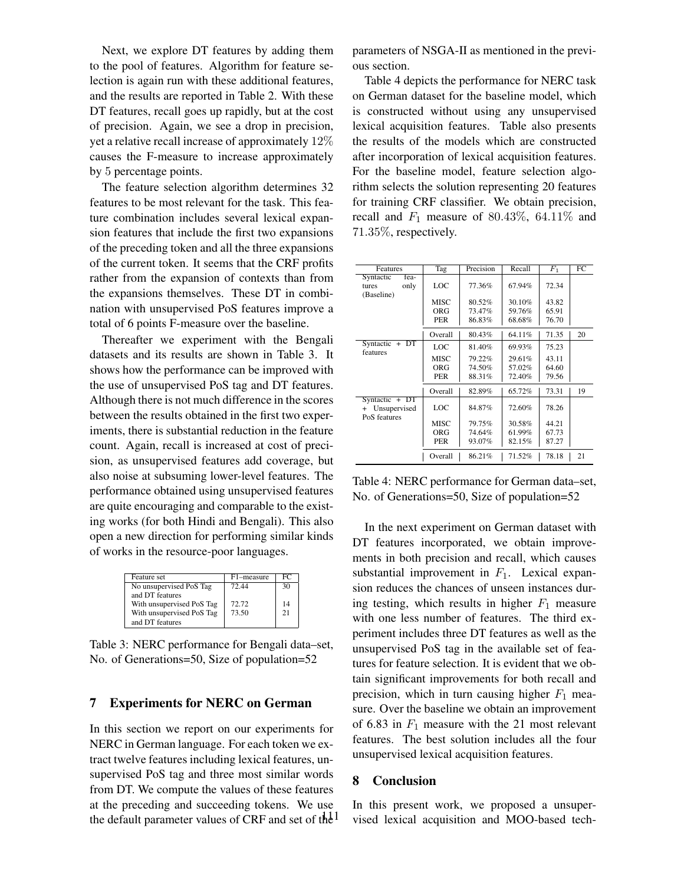Next, we explore DT features by adding them to the pool of features. Algorithm for feature selection is again run with these additional features, and the results are reported in Table 2. With these DT features, recall goes up rapidly, but at the cost of precision. Again, we see a drop in precision, yet a relative recall increase of approximately 12% causes the F-measure to increase approximately by 5 percentage points.

The feature selection algorithm determines 32 features to be most relevant for the task. This feature combination includes several lexical expansion features that include the first two expansions of the preceding token and all the three expansions of the current token. It seems that the CRF profits rather from the expansion of contexts than from the expansions themselves. These DT in combination with unsupervised PoS features improve a total of 6 points F-measure over the baseline.

Thereafter we experiment with the Bengali datasets and its results are shown in Table 3. It shows how the performance can be improved with the use of unsupervised PoS tag and DT features. Although there is not much difference in the scores between the results obtained in the first two experiments, there is substantial reduction in the feature count. Again, recall is increased at cost of precision, as unsupervised features add coverage, but also noise at subsuming lower-level features. The performance obtained using unsupervised features are quite encouraging and comparable to the existing works (for both Hindi and Bengali). This also open a new direction for performing similar kinds of works in the resource-poor languages.

| Feature set               | F1-measure | FC |
|---------------------------|------------|----|
| No unsupervised PoS Tag   | 72.44      | 30 |
| and DT features           |            |    |
| With unsupervised PoS Tag | 72.72      | 14 |
| With unsupervised PoS Tag | 73.50      | 21 |
| and DT features           |            |    |

Table 3: NERC performance for Bengali data–set, No. of Generations=50, Size of population=52

## 7 Experiments for NERC on German

In this section we report on our experiments for NERC in German language. For each token we extract twelve features including lexical features, unsupervised PoS tag and three most similar words from DT. We compute the values of these features at the preceding and succeeding tokens. We use the default parameter values of CRF and set of the  $1$  parameters of NSGA-II as mentioned in the previous section.

Table 4 depicts the performance for NERC task on German dataset for the baseline model, which is constructed without using any unsupervised lexical acquisition features. Table also presents the results of the models which are constructed after incorporation of lexical acquisition features. For the baseline model, feature selection algorithm selects the solution representing 20 features for training CRF classifier. We obtain precision, recall and  $F_1$  measure of 80.43%, 64.11% and 71.35%, respectively.

| Features                       | Tag         | Precision | Recall | F <sub>1</sub> | FC |
|--------------------------------|-------------|-----------|--------|----------------|----|
| Syntactic<br>fea-              |             |           |        |                |    |
| only<br>tures                  | LOC         | 77.36%    | 67.94% | 72.34          |    |
| (Baseline)                     |             |           |        |                |    |
|                                | <b>MISC</b> | 80.52%    | 30.10% | 43.82          |    |
|                                | ORG         | 73.47%    | 59.76% | 65.91          |    |
|                                | <b>PER</b>  | 86.83%    | 68.68% | 76.70          |    |
|                                |             |           |        |                |    |
|                                | Overall     | 80.43%    | 64.11% | 71.35          | 20 |
| Syntactic<br>$+DT$<br>features | LOC         | 81.40%    | 69.93% | 75.23          |    |
|                                | <b>MISC</b> | 79.22%    | 29.61% | 43.11          |    |
|                                | ORG         | 74.50%    | 57.02% | 64.60          |    |
|                                | <b>PER</b>  | 88.31%    | 72.40% | 79.56          |    |
|                                | Overall     | 82.89%    | 65.72% | 73.31          | 19 |
| $Symtactic + DT$               |             |           |        |                |    |
| Unsupervised<br>$^{+}$         | LOC.        | 84.87%    | 72.60% | 78.26          |    |
| PoS features                   |             |           |        |                |    |
|                                | <b>MISC</b> | 79.75%    | 30.58% | 44.21          |    |
|                                | ORG         | 74.64%    | 61.99% | 67.73          |    |
|                                | PER         | 93.07%    | 82.15% | 87.27          |    |
|                                | Overall     | 86.21%    | 71.52% | 78.18          | 21 |

Table 4: NERC performance for German data–set, No. of Generations=50, Size of population=52

In the next experiment on German dataset with DT features incorporated, we obtain improvements in both precision and recall, which causes substantial improvement in  $F_1$ . Lexical expansion reduces the chances of unseen instances during testing, which results in higher  $F_1$  measure with one less number of features. The third experiment includes three DT features as well as the unsupervised PoS tag in the available set of features for feature selection. It is evident that we obtain significant improvements for both recall and precision, which in turn causing higher  $F_1$  measure. Over the baseline we obtain an improvement of 6.83 in  $F_1$  measure with the 21 most relevant features. The best solution includes all the four unsupervised lexical acquisition features.

#### 8 Conclusion

In this present work, we proposed a unsupervised lexical acquisition and MOO-based tech